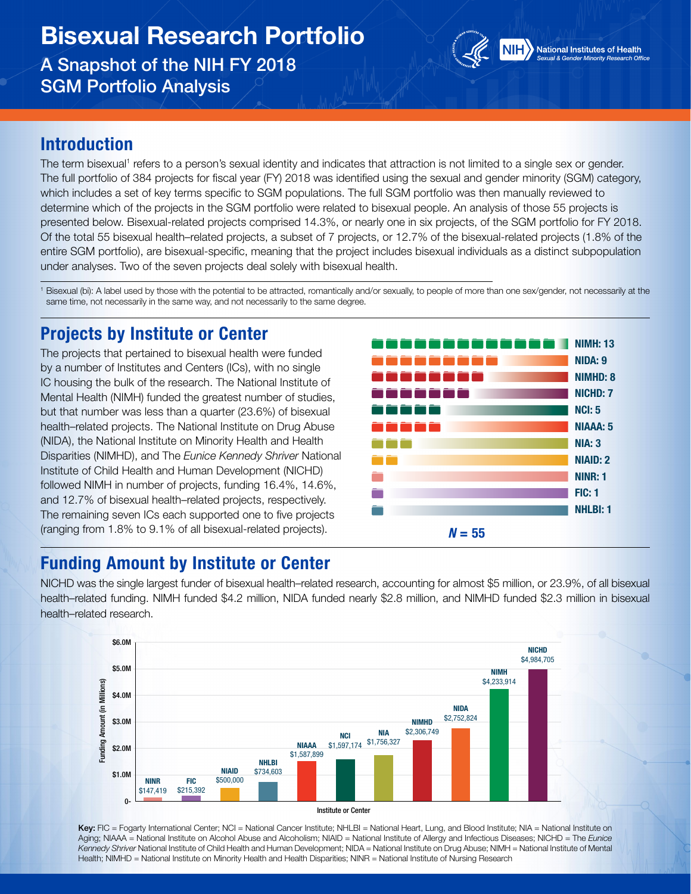# Bisexual Research Portfolio

A Snapshot of the NIH FY 2018 SGM Portfolio Analysis



#### Introduction

The term bisexual<sup>1</sup> refers to a person's sexual identity and indicates that attraction is not limited to a single sex or gender. The full portfolio of 384 projects for fiscal year (FY) 2018 was identified using the sexual and gender minority (SGM) category, which includes a set of key terms specific to SGM populations. The full SGM portfolio was then manually reviewed to determine which of the projects in the SGM portfolio were related to bisexual people. An analysis of those 55 projects is presented below. Bisexual-related projects comprised 14.3%, or nearly one in six projects, of the SGM portfolio for FY 2018. Of the total 55 bisexual health–related projects, a subset of 7 projects, or 12.7% of the bisexual-related projects (1.8% of the entire SGM portfolio), are bisexual-specific, meaning that the project includes bisexual individuals as a distinct subpopulation under analyses. Two of the seven projects deal solely with bisexual health.

<sup>1</sup> Bisexual (bi): A label used by those with the potential to be attracted, romantically and/or sexually, to people of more than one sex/gender, not necessarily at the same time, not necessarily in the same way, and not necessarily to the same degree.

# Projects by Institute or Center

The projects that pertained to bisexual health were funded by a number of Institutes and Centers (ICs), with no single IC housing the bulk of the research. The National Institute of Mental Health (NIMH) funded the greatest number of studies, but that number was less than a quarter (23.6%) of bisexual health–related projects. The National Institute on Drug Abuse (NIDA), the National Institute on Minority Health and Health Disparities (NIMHD), and The *Eunice Kennedy Shriver* National Institute of Child Health and Human Development (NICHD) followed NIMH in number of projects, funding 16.4%, 14.6%, and 12.7% of bisexual health–related projects, respectively. The remaining seven ICs each supported one to five projects (ranging from 1.8% to 9.1% of all bisexual-related projects).



### Funding Amount by Institute or Center

NICHD was the single largest funder of bisexual health–related research, accounting for almost \$5 million, or 23.9%, of all bisexual health–related funding. NIMH funded \$4.2 million, NIDA funded nearly \$2.8 million, and NIMHD funded \$2.3 million in bisexual health–related research.





Key: FIC = Fogarty International Center; NCI = National Cancer Institute; NHLBI = National Heart, Lung, and Blood Institute; NIA = National Institute on Aging; NIAAA = National Institute on Alcohol Abuse and Alcoholism; NIAID = National Institute of Allergy and Infectious Diseases; NICHD = The *Eunice Kennedy Shriver* National Institute of Child Health and Human Development; NIDA = National Institute on Drug Abuse; NIMH = National Institute of Mental Health; NIMHD = National Institute on Minority Health and Health Disparities; NINR = National Institute of Nursing Research